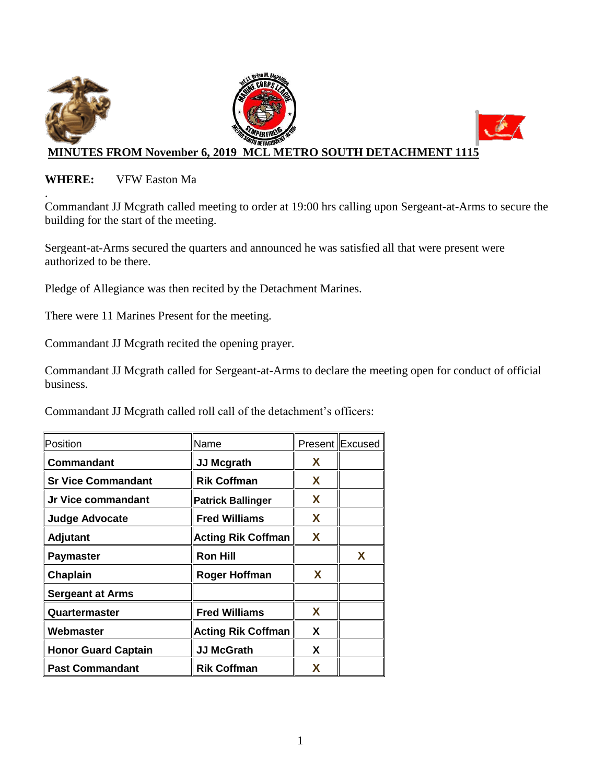

### **WHERE:** VFW Easton Ma

. Commandant JJ Mcgrath called meeting to order at 19:00 hrs calling upon Sergeant-at-Arms to secure the building for the start of the meeting.

Sergeant-at-Arms secured the quarters and announced he was satisfied all that were present were authorized to be there.

Pledge of Allegiance was then recited by the Detachment Marines.

There were 11 Marines Present for the meeting.

Commandant JJ Mcgrath recited the opening prayer.

Commandant JJ Mcgrath called for Sergeant-at-Arms to declare the meeting open for conduct of official business.

Commandant JJ Mcgrath called roll call of the detachment's officers:

| Position                   | Name                      |   | Present Excused |
|----------------------------|---------------------------|---|-----------------|
| Commandant                 | <b>JJ Mcgrath</b>         | X |                 |
| <b>Sr Vice Commandant</b>  | <b>Rik Coffman</b>        | X |                 |
| Jr Vice commandant         | <b>Patrick Ballinger</b>  | X |                 |
| <b>Judge Advocate</b>      | <b>Fred Williams</b>      | X |                 |
| <b>Adjutant</b>            | <b>Acting Rik Coffman</b> | X |                 |
| <b>Paymaster</b>           | <b>Ron Hill</b>           |   | X               |
| Chaplain                   | <b>Roger Hoffman</b>      | X |                 |
| <b>Sergeant at Arms</b>    |                           |   |                 |
| Quartermaster              | <b>Fred Williams</b>      | X |                 |
| Webmaster                  | <b>Acting Rik Coffman</b> | X |                 |
| <b>Honor Guard Captain</b> | <b>JJ McGrath</b>         | X |                 |
| <b>Past Commandant</b>     | <b>Rik Coffman</b>        | x |                 |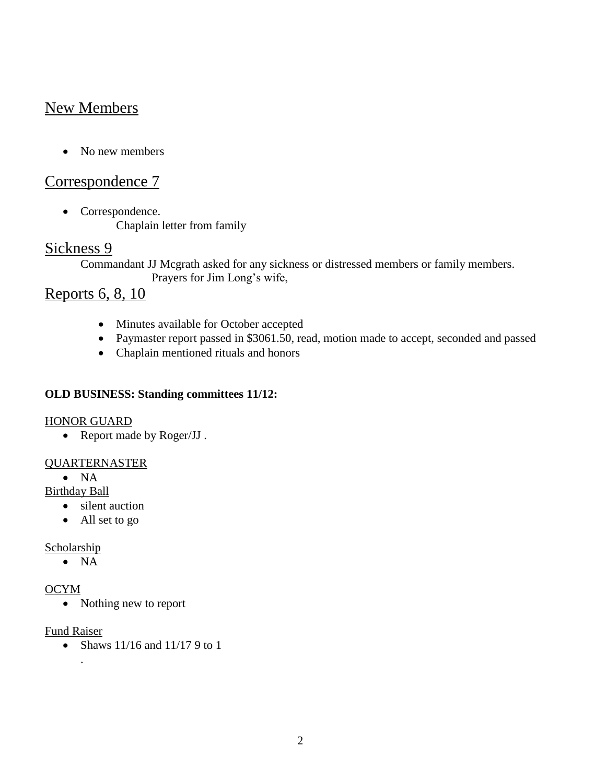# New Members

• No new members

## Correspondence 7

• Correspondence. Chaplain letter from family

### Sickness 9

Commandant JJ Mcgrath asked for any sickness or distressed members or family members. Prayers for Jim Long's wife,

## Reports 6, 8, 10

- Minutes available for October accepted
- Paymaster report passed in \$3061.50, read, motion made to accept, seconded and passed
- Chaplain mentioned rituals and honors

### **OLD BUSINESS: Standing committees 11/12:**

#### HONOR GUARD

• Report made by Roger/JJ.

#### QUARTERNASTER

 $\bullet$  NA

Birthday Ball

- silent auction
- All set to go

#### **Scholarship**

 $\bullet$  NA

#### OCYM

• Nothing new to report

#### Fund Raiser

.

• Shaws  $11/16$  and  $11/17$  9 to 1